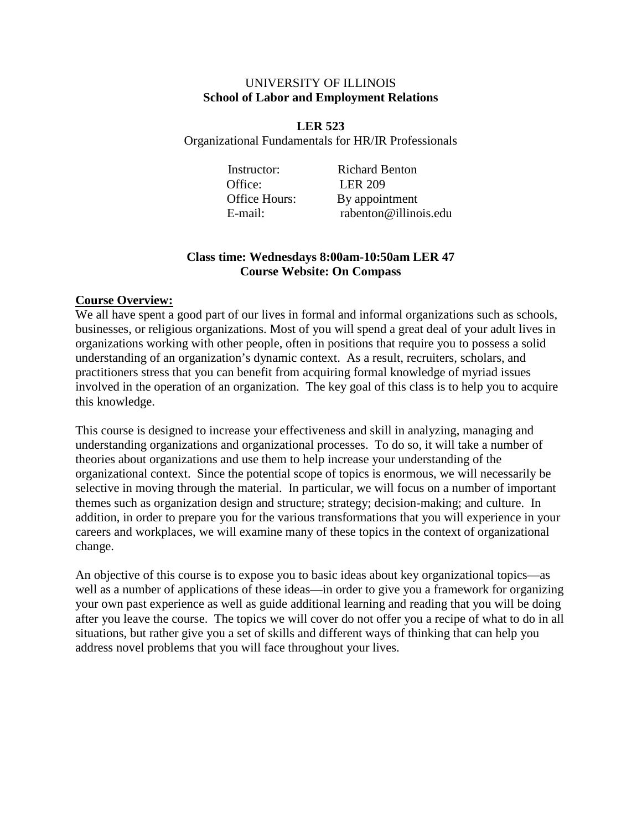#### UNIVERSITY OF ILLINOIS **School of Labor and Employment Relations**

**LER 523** Organizational Fundamentals for HR/IR Professionals

Office: LER 209

Instructor: Richard Benton Office Hours: By appointment E-mail: rabenton@illinois.edu

## **Class time: Wednesdays 8:00am-10:50am LER 47 Course Website: On Compass**

## **Course Overview:**

We all have spent a good part of our lives in formal and informal organizations such as schools, businesses, or religious organizations. Most of you will spend a great deal of your adult lives in organizations working with other people, often in positions that require you to possess a solid understanding of an organization's dynamic context. As a result, recruiters, scholars, and practitioners stress that you can benefit from acquiring formal knowledge of myriad issues involved in the operation of an organization. The key goal of this class is to help you to acquire this knowledge.

This course is designed to increase your effectiveness and skill in analyzing, managing and understanding organizations and organizational processes. To do so, it will take a number of theories about organizations and use them to help increase your understanding of the organizational context. Since the potential scope of topics is enormous, we will necessarily be selective in moving through the material. In particular, we will focus on a number of important themes such as organization design and structure; strategy; decision-making; and culture. In addition, in order to prepare you for the various transformations that you will experience in your careers and workplaces, we will examine many of these topics in the context of organizational change.

An objective of this course is to expose you to basic ideas about key organizational topics—as well as a number of applications of these ideas—in order to give you a framework for organizing your own past experience as well as guide additional learning and reading that you will be doing after you leave the course. The topics we will cover do not offer you a recipe of what to do in all situations, but rather give you a set of skills and different ways of thinking that can help you address novel problems that you will face throughout your lives.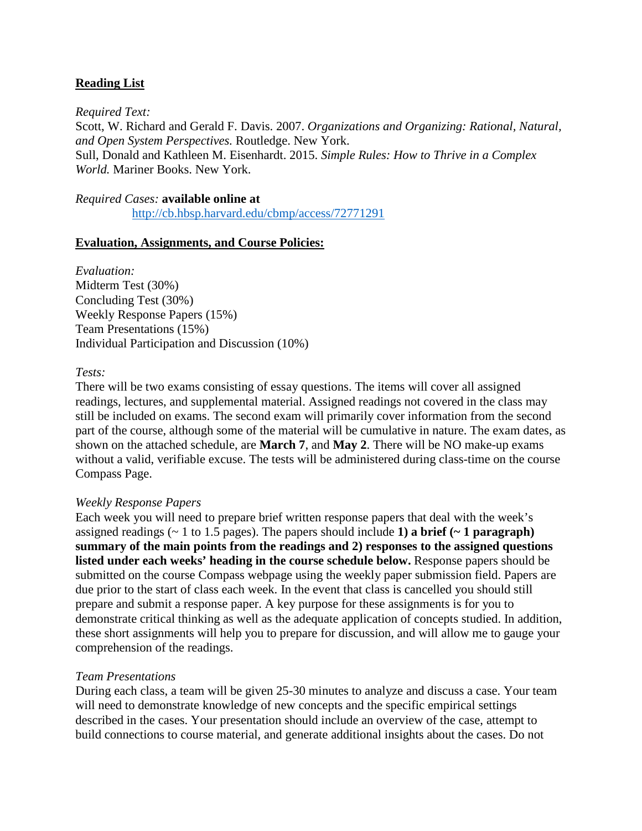### **Reading List**

*Required Text:* Scott, W. Richard and Gerald F. Davis. 2007. *Organizations and Organizing: Rational, Natural, and Open System Perspectives.* Routledge. New York. Sull, Donald and Kathleen M. Eisenhardt. 2015. *Simple Rules: How to Thrive in a Complex World.* Mariner Books. New York.

# *Required Cases:* **available online at**

<http://cb.hbsp.harvard.edu/cbmp/access/72771291>

#### **Evaluation, Assignments, and Course Policies:**

*Evaluation:* Midterm Test (30%) Concluding Test (30%) Weekly Response Papers (15%) Team Presentations (15%) Individual Participation and Discussion (10%)

#### *Tests:*

There will be two exams consisting of essay questions. The items will cover all assigned readings, lectures, and supplemental material. Assigned readings not covered in the class may still be included on exams. The second exam will primarily cover information from the second part of the course, although some of the material will be cumulative in nature. The exam dates, as shown on the attached schedule, are **March 7**, and **May 2**. There will be NO make-up exams without a valid, verifiable excuse. The tests will be administered during class-time on the course Compass Page.

#### *Weekly Response Papers*

Each week you will need to prepare brief written response papers that deal with the week's assigned readings (~ 1 to 1.5 pages). The papers should include **1) a brief (~ 1 paragraph) summary of the main points from the readings and 2) responses to the assigned questions**  listed under each weeks' heading in the course schedule below. Response papers should be submitted on the course Compass webpage using the weekly paper submission field. Papers are due prior to the start of class each week. In the event that class is cancelled you should still prepare and submit a response paper. A key purpose for these assignments is for you to demonstrate critical thinking as well as the adequate application of concepts studied. In addition, these short assignments will help you to prepare for discussion, and will allow me to gauge your comprehension of the readings.

#### *Team Presentations*

During each class, a team will be given 25-30 minutes to analyze and discuss a case. Your team will need to demonstrate knowledge of new concepts and the specific empirical settings described in the cases. Your presentation should include an overview of the case, attempt to build connections to course material, and generate additional insights about the cases. Do not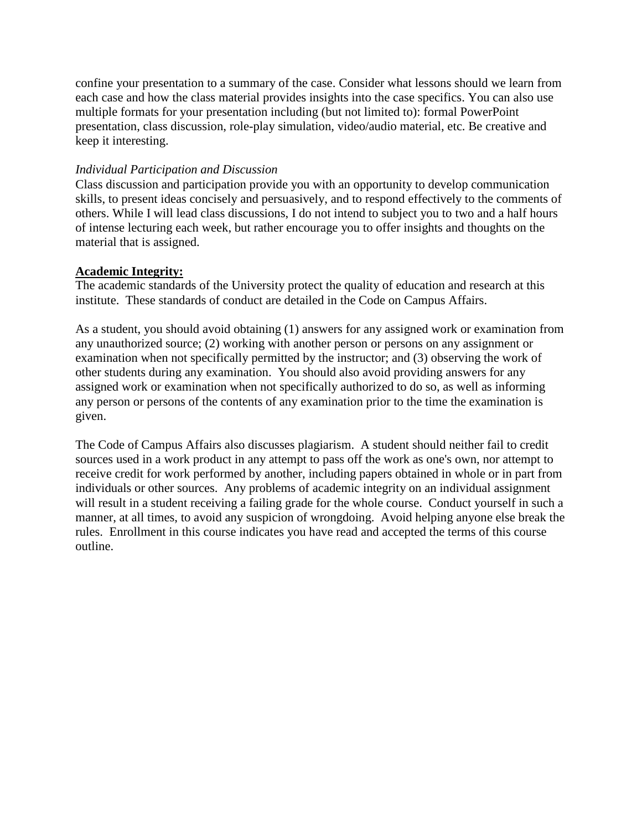confine your presentation to a summary of the case. Consider what lessons should we learn from each case and how the class material provides insights into the case specifics. You can also use multiple formats for your presentation including (but not limited to): formal PowerPoint presentation, class discussion, role-play simulation, video/audio material, etc. Be creative and keep it interesting.

#### *Individual Participation and Discussion*

Class discussion and participation provide you with an opportunity to develop communication skills, to present ideas concisely and persuasively, and to respond effectively to the comments of others. While I will lead class discussions, I do not intend to subject you to two and a half hours of intense lecturing each week, but rather encourage you to offer insights and thoughts on the material that is assigned.

#### **Academic Integrity:**

The academic standards of the University protect the quality of education and research at this institute. These standards of conduct are detailed in the Code on Campus Affairs.

As a student, you should avoid obtaining (1) answers for any assigned work or examination from any unauthorized source; (2) working with another person or persons on any assignment or examination when not specifically permitted by the instructor; and (3) observing the work of other students during any examination. You should also avoid providing answers for any assigned work or examination when not specifically authorized to do so, as well as informing any person or persons of the contents of any examination prior to the time the examination is given.

The Code of Campus Affairs also discusses plagiarism. A student should neither fail to credit sources used in a work product in any attempt to pass off the work as one's own, nor attempt to receive credit for work performed by another, including papers obtained in whole or in part from individuals or other sources. Any problems of academic integrity on an individual assignment will result in a student receiving a failing grade for the whole course. Conduct yourself in such a manner, at all times, to avoid any suspicion of wrongdoing. Avoid helping anyone else break the rules. Enrollment in this course indicates you have read and accepted the terms of this course outline.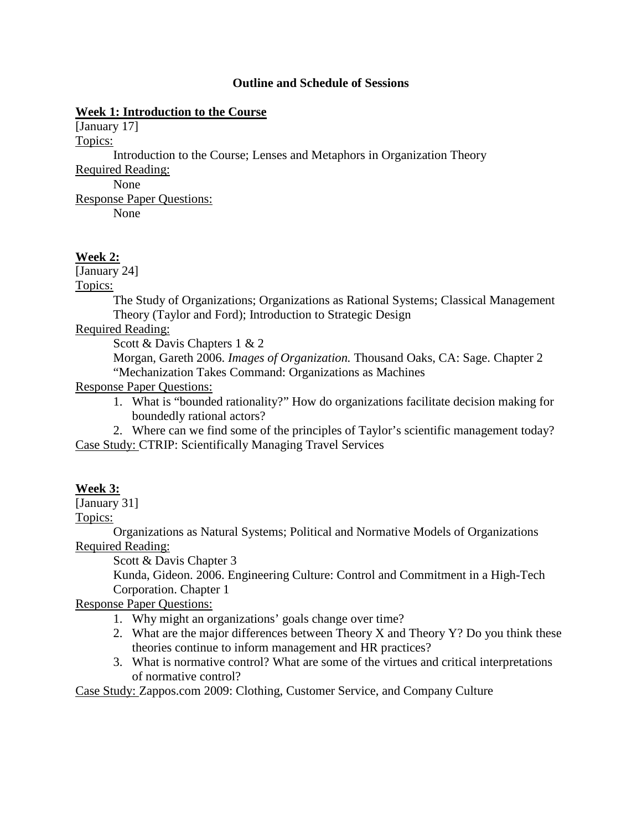#### **Outline and Schedule of Sessions**

#### **Week 1: Introduction to the Course**

[January 17]

Topics:

Introduction to the Course; Lenses and Metaphors in Organization Theory

Required Reading:

None Response Paper Questions:

None

### **Week 2:**

[January 24]

Topics:

The Study of Organizations; Organizations as Rational Systems; Classical Management Theory (Taylor and Ford); Introduction to Strategic Design

### Required Reading:

Scott & Davis Chapters 1 & 2

Morgan, Gareth 2006. *Images of Organization.* Thousand Oaks, CA: Sage. Chapter 2 "Mechanization Takes Command: Organizations as Machines

Response Paper Questions:

- 1. What is "bounded rationality?" How do organizations facilitate decision making for boundedly rational actors?
- 2. Where can we find some of the principles of Taylor's scientific management today? Case Study: CTRIP: Scientifically Managing Travel Services

## **Week 3:**

[January 31]

Topics:

Organizations as Natural Systems; Political and Normative Models of Organizations Required Reading:

Scott & Davis Chapter 3

Kunda, Gideon. 2006. Engineering Culture: Control and Commitment in a High-Tech Corporation. Chapter 1

Response Paper Questions:

1. Why might an organizations' goals change over time?

- 2. What are the major differences between Theory X and Theory Y? Do you think these theories continue to inform management and HR practices?
- 3. What is normative control? What are some of the virtues and critical interpretations of normative control?

Case Study: Zappos.com 2009: Clothing, Customer Service, and Company Culture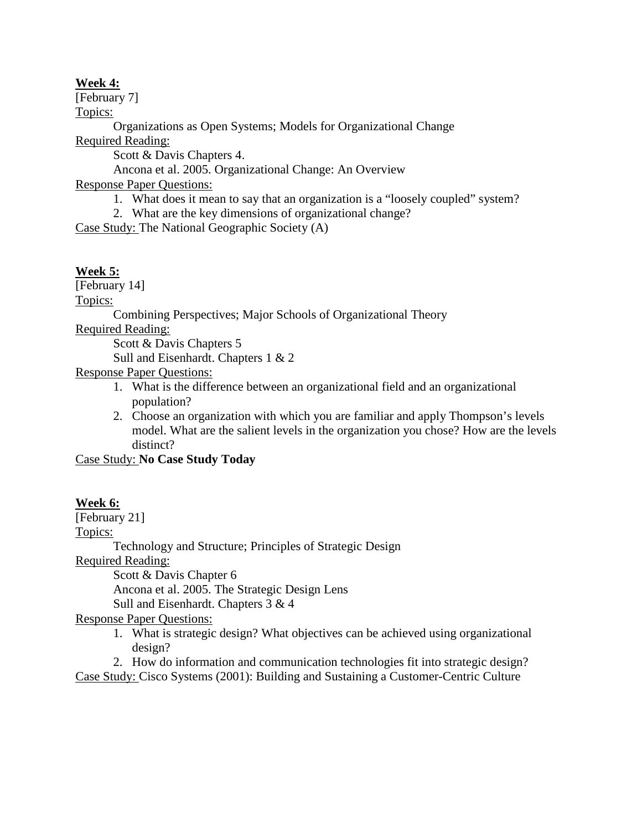### **Week 4:**

[February 7]

Topics:

Organizations as Open Systems; Models for Organizational Change Required Reading:

Scott & Davis Chapters 4.

Ancona et al. 2005. Organizational Change: An Overview

Response Paper Questions:

- 1. What does it mean to say that an organization is a "loosely coupled" system?
- 2. What are the key dimensions of organizational change?

Case Study: The National Geographic Society (A)

## **Week 5:**

[February 14]

Topics:

Combining Perspectives; Major Schools of Organizational Theory

Required Reading:

Scott & Davis Chapters 5

Sull and Eisenhardt. Chapters 1 & 2

Response Paper Questions:

- 1. What is the difference between an organizational field and an organizational population?
- 2. Choose an organization with which you are familiar and apply Thompson's levels model. What are the salient levels in the organization you chose? How are the levels distinct?

Case Study: **No Case Study Today**

## **Week 6:**

[February 21]

Topics:

Technology and Structure; Principles of Strategic Design

Required Reading:

Scott & Davis Chapter 6

Ancona et al. 2005. The Strategic Design Lens

Sull and Eisenhardt. Chapters 3 & 4

Response Paper Questions:

1. What is strategic design? What objectives can be achieved using organizational design?

2. How do information and communication technologies fit into strategic design? Case Study: Cisco Systems (2001): Building and Sustaining a Customer-Centric Culture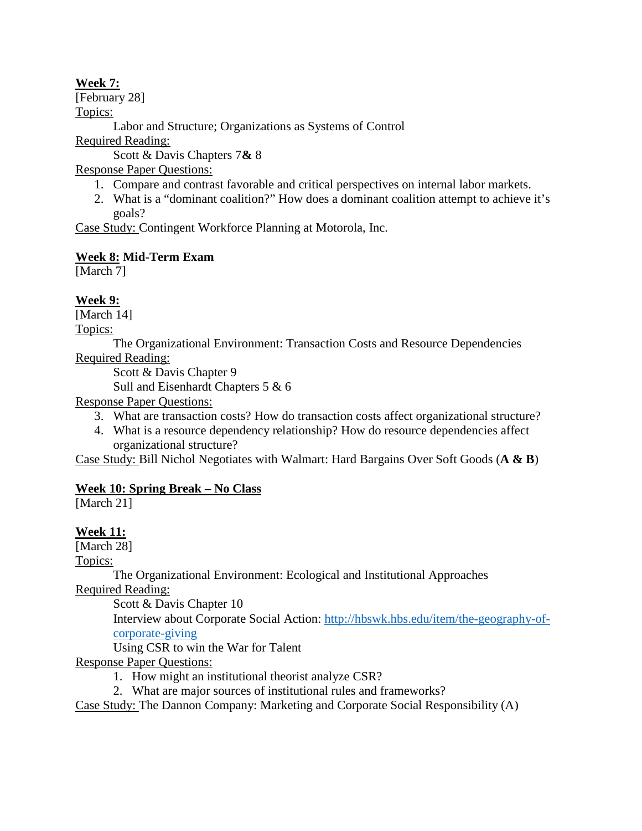## **Week 7:**

[February 28]

Topics:

Labor and Structure; Organizations as Systems of Control

Required Reading:

Scott & Davis Chapters 7**&** 8

Response Paper Questions:

- 1. Compare and contrast favorable and critical perspectives on internal labor markets.
- 2. What is a "dominant coalition?" How does a dominant coalition attempt to achieve it's goals?

Case Study: Contingent Workforce Planning at Motorola, Inc.

# **Week 8: Mid-Term Exam**

[March 7]

# **Week 9:**

[March 14]

Topics:

The Organizational Environment: Transaction Costs and Resource Dependencies Required Reading:

Scott & Davis Chapter 9

Sull and Eisenhardt Chapters 5 & 6

Response Paper Questions:

- 3. What are transaction costs? How do transaction costs affect organizational structure?
- 4. What is a resource dependency relationship? How do resource dependencies affect organizational structure?

Case Study: Bill Nichol Negotiates with Walmart: Hard Bargains Over Soft Goods (**A & B**)

# **Week 10: Spring Break – No Class**

[March 21]

# **Week 11:**

[March 28]

Topics:

The Organizational Environment: Ecological and Institutional Approaches

Required Reading:

Scott & Davis Chapter 10

Interview about Corporate Social Action: [http://hbswk.hbs.edu/item/the-geography-of](http://hbswk.hbs.edu/item/the-geography-of-corporate-giving)[corporate-giving](http://hbswk.hbs.edu/item/the-geography-of-corporate-giving)

Using CSR to win the War for Talent

Response Paper Questions:

- 1. How might an institutional theorist analyze CSR?
- 2. What are major sources of institutional rules and frameworks?

Case Study: The Dannon Company: Marketing and Corporate Social Responsibility (A)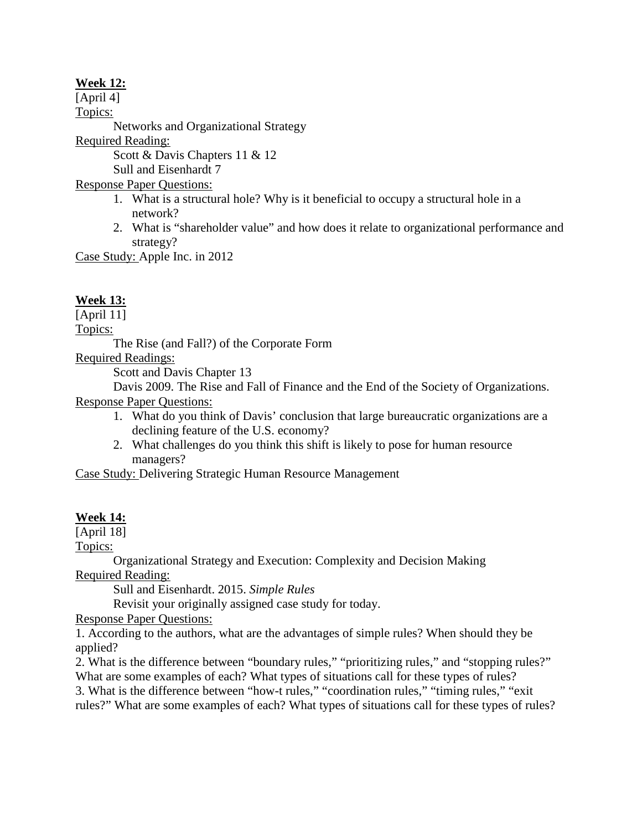## **Week 12:**

[April 4] Topics: Networks and Organizational Strategy Required Reading: Scott & Davis Chapters 11 & 12 Sull and Eisenhardt 7 Response Paper Questions: 1. What is a structural hole? Why is it beneficial to occupy a structural hole in a network? 2. What is "shareholder value" and how does it relate to organizational performance and strategy?

Case Study: Apple Inc. in 2012

## **Week 13:**

[April 11]

Topics:

The Rise (and Fall?) of the Corporate Form

Required Readings:

Scott and Davis Chapter 13

Davis 2009. The Rise and Fall of Finance and the End of the Society of Organizations. Response Paper Questions:

- 1. What do you think of Davis' conclusion that large bureaucratic organizations are a declining feature of the U.S. economy?
- 2. What challenges do you think this shift is likely to pose for human resource managers?

Case Study: Delivering Strategic Human Resource Management

#### **Week 14:**

[April 18]

Topics:

Organizational Strategy and Execution: Complexity and Decision Making Required Reading:

Sull and Eisenhardt. 2015. *Simple Rules*

Revisit your originally assigned case study for today.

Response Paper Questions:

1. According to the authors, what are the advantages of simple rules? When should they be applied?

2. What is the difference between "boundary rules," "prioritizing rules," and "stopping rules?" What are some examples of each? What types of situations call for these types of rules? 3. What is the difference between "how-t rules," "coordination rules," "timing rules," "exit rules?" What are some examples of each? What types of situations call for these types of rules?